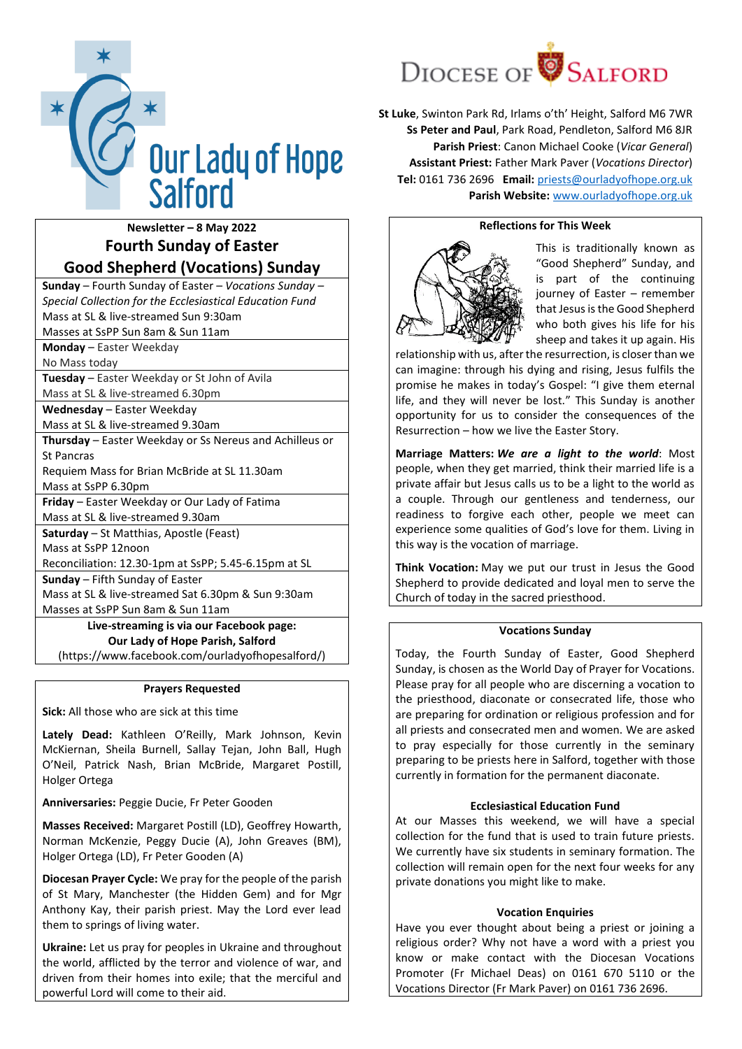

**Newsletter – 8 May 2022 Fourth Sunday of Easter Good Shepherd (Vocations) Sunday**

**Sunday** – Fourth Sunday of Easter – *Vocations Sunday – Special Collection for the Ecclesiastical Education Fund* Mass at SL & live-streamed Sun 9:30am

Masses at SsPP Sun 8am & Sun 11am

**Monday** – Easter Weekday

No Mass today

**Tuesday** – Easter Weekday or St John of Avila Mass at SL & live-streamed 6.30pm

**Wednesday** – Easter Weekday

Mass at SL & live-streamed 9.30am

**Thursday** – Easter Weekday or Ss Nereus and Achilleus or St Pancras

Requiem Mass for Brian McBride at SL 11.30am

Mass at SsPP 6.30pm

**Friday** – Easter Weekday or Our Lady of Fatima Mass at SL & live-streamed 9.30am

**Saturday** – St Matthias, Apostle (Feast)

Mass at SsPP 12noon

Reconciliation: 12.30-1pm at SsPP; 5.45-6.15pm at SL

**Sunday** – Fifth Sunday of Easter

Mass at SL & live-streamed Sat 6.30pm & Sun 9:30am Masses at SsPP Sun 8am & Sun 11am

**Live-streaming is via our Facebook page: Our Lady of Hope Parish, Salford** (https://www.facebook.com/ourladyofhopesalford/)

### **Prayers Requested**

**Sick:** All those who are sick at this time

**Lately Dead:** Kathleen O'Reilly, Mark Johnson, Kevin McKiernan, Sheila Burnell, Sallay Tejan, John Ball, Hugh O'Neil, Patrick Nash, Brian McBride, Margaret Postill, Holger Ortega

**Anniversaries:** Peggie Ducie, Fr Peter Gooden

**Masses Received:** Margaret Postill (LD), Geoffrey Howarth, Norman McKenzie, Peggy Ducie (A), John Greaves (BM), Holger Ortega (LD), Fr Peter Gooden (A)

**Diocesan Prayer Cycle:** We pray for the people of the parish of St Mary, Manchester (the Hidden Gem) and for Mgr Anthony Kay, their parish priest. May the Lord ever lead them to springs of living water.

**Ukraine:** Let us pray for peoples in Ukraine and throughout the world, afflicted by the terror and violence of war, and driven from their homes into exile; that the merciful and powerful Lord will come to their aid.



**St Luke**, Swinton Park Rd, Irlams o'th' Height, Salford M6 7WR **Ss Peter and Paul**, Park Road, Pendleton, Salford M6 8JR **Parish Priest**: Canon Michael Cooke (*Vicar General*) **Assistant Priest:** Father Mark Paver (*Vocations Director*) **Tel:** 0161 736 2696 **Email:** [priests@ourladyofhope.org.uk](mailto:priests@ourladyofhope.org.uk) **Parish Website:** [www.ourladyofhope.org.uk](http://www.ourladyofhope.org.uk/)

## **Reflections for This Week**



This is traditionally known as "Good Shepherd" Sunday, and is part of the continuing journey of Easter – remember that Jesus is the Good Shepherd who both gives his life for his sheep and takes it up again. His

relationship with us, after the resurrection, is closer than we can imagine: through his dying and rising, Jesus fulfils the promise he makes in today's Gospel: "I give them eternal life, and they will never be lost." This Sunday is another opportunity for us to consider the consequences of the Resurrection – how we live the Easter Story.

**Marriage Matters:** *We are a light to the world*: Most people, when they get married, think their married life is a private affair but Jesus calls us to be a light to the world as a couple. Through our gentleness and tenderness, our readiness to forgive each other, people we meet can experience some qualities of God's love for them. Living in this way is the vocation of marriage.

**Think Vocation:** May we put our trust in Jesus the Good Shepherd to provide dedicated and loyal men to serve the Church of today in the sacred priesthood.

# **Vocations Sunday**

Today, the Fourth Sunday of Easter, Good Shepherd Sunday, is chosen as the World Day of Prayer for Vocations. Please pray for all people who are discerning a vocation to the priesthood, diaconate or consecrated life, those who are preparing for ordination or religious profession and for all priests and consecrated men and women. We are asked to pray especially for those currently in the seminary preparing to be priests here in Salford, together with those currently in formation for the permanent diaconate.

### **Ecclesiastical Education Fund**

At our Masses this weekend, we will have a special collection for the fund that is used to train future priests. We currently have six students in seminary formation. The collection will remain open for the next four weeks for any private donations you might like to make.

### **Vocation Enquiries**

Have you ever thought about being a priest or joining a religious order? Why not have a word with a priest you know or make contact with the Diocesan Vocations Promoter (Fr Michael Deas) on 0161 670 5110 or the Vocations Director (Fr Mark Paver) on 0161 736 2696.